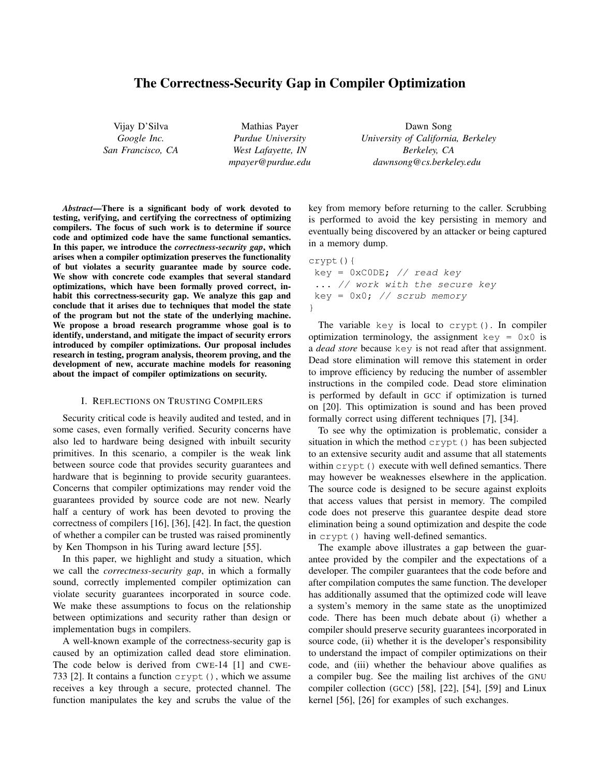# The Correctness-Security Gap in Compiler Optimization

Vijay D'Silva *Google Inc. San Francisco, CA*

Mathias Payer *Purdue University West Lafayette, IN mpayer@purdue.edu*

Dawn Song *University of California, Berkeley Berkeley, CA dawnsong@cs.berkeley.edu*

*Abstract*—There is a significant body of work devoted to testing, verifying, and certifying the correctness of optimizing compilers. The focus of such work is to determine if source code and optimized code have the same functional semantics. In this paper, we introduce the *correctness-security gap*, which arises when a compiler optimization preserves the functionality of but violates a security guarantee made by source code. We show with concrete code examples that several standard optimizations, which have been formally proved correct, inhabit this correctness-security gap. We analyze this gap and conclude that it arises due to techniques that model the state of the program but not the state of the underlying machine. We propose a broad research programme whose goal is to identify, understand, and mitigate the impact of security errors introduced by compiler optimizations. Our proposal includes research in testing, program analysis, theorem proving, and the development of new, accurate machine models for reasoning about the impact of compiler optimizations on security.

#### I. REFLECTIONS ON TRUSTING COMPILERS

Security critical code is heavily audited and tested, and in some cases, even formally verified. Security concerns have also led to hardware being designed with inbuilt security primitives. In this scenario, a compiler is the weak link between source code that provides security guarantees and hardware that is beginning to provide security guarantees. Concerns that compiler optimizations may render void the guarantees provided by source code are not new. Nearly half a century of work has been devoted to proving the correctness of compilers [16], [36], [42]. In fact, the question of whether a compiler can be trusted was raised prominently by Ken Thompson in his Turing award lecture [55].

In this paper, we highlight and study a situation, which we call the *correctness-security gap*, in which a formally sound, correctly implemented compiler optimization can violate security guarantees incorporated in source code. We make these assumptions to focus on the relationship between optimizations and security rather than design or implementation bugs in compilers.

A well-known example of the correctness-security gap is caused by an optimization called dead store elimination. The code below is derived from CWE-14 [1] and CWE-733 [2]. It contains a function  $\text{crypt}($ ), which we assume receives a key through a secure, protected channel. The function manipulates the key and scrubs the value of the key from memory before returning to the caller. Scrubbing is performed to avoid the key persisting in memory and eventually being discovered by an attacker or being captured in a memory dump.

```
crypt(){
 key = 0xCODE; // read key... // work with the secure key
key = 0x0; // scrub memory
}
```
The variable key is local to crypt(). In compiler optimization terminology, the assignment key =  $0 \times 0$  is a *dead store* because key is not read after that assignment. Dead store elimination will remove this statement in order to improve efficiency by reducing the number of assembler instructions in the compiled code. Dead store elimination is performed by default in GCC if optimization is turned on [20]. This optimization is sound and has been proved formally correct using different techniques [7], [34].

To see why the optimization is problematic, consider a situation in which the method crypt() has been subjected to an extensive security audit and assume that all statements within crypt() execute with well defined semantics. There may however be weaknesses elsewhere in the application. The source code is designed to be secure against exploits that access values that persist in memory. The compiled code does not preserve this guarantee despite dead store elimination being a sound optimization and despite the code in crypt() having well-defined semantics.

The example above illustrates a gap between the guarantee provided by the compiler and the expectations of a developer. The compiler guarantees that the code before and after compilation computes the same function. The developer has additionally assumed that the optimized code will leave a system's memory in the same state as the unoptimized code. There has been much debate about (i) whether a compiler should preserve security guarantees incorporated in source code, (ii) whether it is the developer's responsibility to understand the impact of compiler optimizations on their code, and (iii) whether the behaviour above qualifies as a compiler bug. See the mailing list archives of the GNU compiler collection (GCC) [58], [22], [54], [59] and Linux kernel [56], [26] for examples of such exchanges.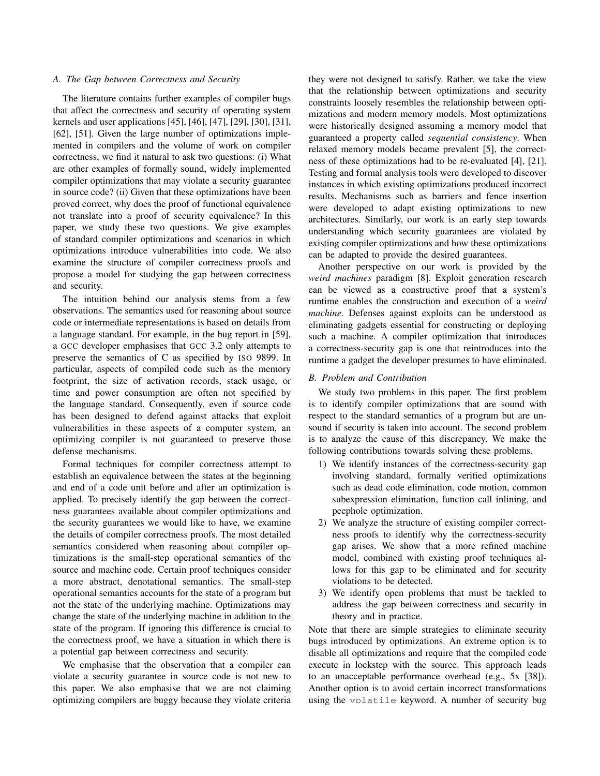## *A. The Gap between Correctness and Security*

The literature contains further examples of compiler bugs that affect the correctness and security of operating system kernels and user applications [45], [46], [47], [29], [30], [31], [62], [51]. Given the large number of optimizations implemented in compilers and the volume of work on compiler correctness, we find it natural to ask two questions: (i) What are other examples of formally sound, widely implemented compiler optimizations that may violate a security guarantee in source code? (ii) Given that these optimizations have been proved correct, why does the proof of functional equivalence not translate into a proof of security equivalence? In this paper, we study these two questions. We give examples of standard compiler optimizations and scenarios in which optimizations introduce vulnerabilities into code. We also examine the structure of compiler correctness proofs and propose a model for studying the gap between correctness and security.

The intuition behind our analysis stems from a few observations. The semantics used for reasoning about source code or intermediate representations is based on details from a language standard. For example, in the bug report in [59], a GCC developer emphasises that GCC 3.2 only attempts to preserve the semantics of C as specified by ISO 9899. In particular, aspects of compiled code such as the memory footprint, the size of activation records, stack usage, or time and power consumption are often not specified by the language standard. Consequently, even if source code has been designed to defend against attacks that exploit vulnerabilities in these aspects of a computer system, an optimizing compiler is not guaranteed to preserve those defense mechanisms.

Formal techniques for compiler correctness attempt to establish an equivalence between the states at the beginning and end of a code unit before and after an optimization is applied. To precisely identify the gap between the correctness guarantees available about compiler optimizations and the security guarantees we would like to have, we examine the details of compiler correctness proofs. The most detailed semantics considered when reasoning about compiler optimizations is the small-step operational semantics of the source and machine code. Certain proof techniques consider a more abstract, denotational semantics. The small-step operational semantics accounts for the state of a program but not the state of the underlying machine. Optimizations may change the state of the underlying machine in addition to the state of the program. If ignoring this difference is crucial to the correctness proof, we have a situation in which there is a potential gap between correctness and security.

We emphasise that the observation that a compiler can violate a security guarantee in source code is not new to this paper. We also emphasise that we are not claiming optimizing compilers are buggy because they violate criteria they were not designed to satisfy. Rather, we take the view that the relationship between optimizations and security constraints loosely resembles the relationship between optimizations and modern memory models. Most optimizations were historically designed assuming a memory model that guaranteed a property called *sequential consistency*. When relaxed memory models became prevalent [5], the correctness of these optimizations had to be re-evaluated [4], [21]. Testing and formal analysis tools were developed to discover instances in which existing optimizations produced incorrect results. Mechanisms such as barriers and fence insertion were developed to adapt existing optimizations to new architectures. Similarly, our work is an early step towards understanding which security guarantees are violated by existing compiler optimizations and how these optimizations can be adapted to provide the desired guarantees.

Another perspective on our work is provided by the *weird machines* paradigm [8]. Exploit generation research can be viewed as a constructive proof that a system's runtime enables the construction and execution of a *weird machine*. Defenses against exploits can be understood as eliminating gadgets essential for constructing or deploying such a machine. A compiler optimization that introduces a correctness-security gap is one that reintroduces into the runtime a gadget the developer presumes to have eliminated.

## *B. Problem and Contribution*

We study two problems in this paper. The first problem is to identify compiler optimizations that are sound with respect to the standard semantics of a program but are unsound if security is taken into account. The second problem is to analyze the cause of this discrepancy. We make the following contributions towards solving these problems.

- 1) We identify instances of the correctness-security gap involving standard, formally verified optimizations such as dead code elimination, code motion, common subexpression elimination, function call inlining, and peephole optimization.
- 2) We analyze the structure of existing compiler correctness proofs to identify why the correctness-security gap arises. We show that a more refined machine model, combined with existing proof techniques allows for this gap to be eliminated and for security violations to be detected.
- 3) We identify open problems that must be tackled to address the gap between correctness and security in theory and in practice.

Note that there are simple strategies to eliminate security bugs introduced by optimizations. An extreme option is to disable all optimizations and require that the compiled code execute in lockstep with the source. This approach leads to an unacceptable performance overhead (e.g., 5x [38]). Another option is to avoid certain incorrect transformations using the volatile keyword. A number of security bug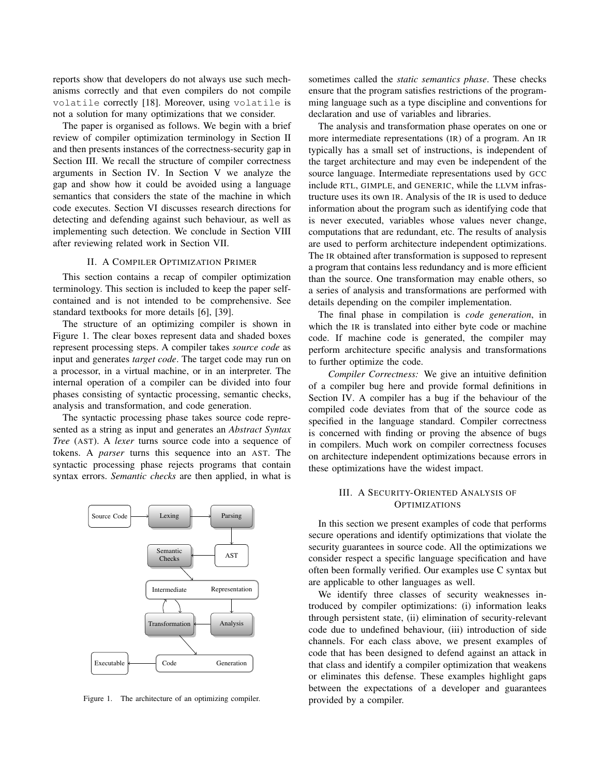reports show that developers do not always use such mechanisms correctly and that even compilers do not compile volatile correctly [18]. Moreover, using volatile is not a solution for many optimizations that we consider.

The paper is organised as follows. We begin with a brief review of compiler optimization terminology in Section II and then presents instances of the correctness-security gap in Section III. We recall the structure of compiler correctness arguments in Section IV. In Section V we analyze the gap and show how it could be avoided using a language semantics that considers the state of the machine in which code executes. Section VI discusses research directions for detecting and defending against such behaviour, as well as implementing such detection. We conclude in Section VIII after reviewing related work in Section VII.

#### II. A COMPILER OPTIMIZATION PRIMER

This section contains a recap of compiler optimization terminology. This section is included to keep the paper selfcontained and is not intended to be comprehensive. See standard textbooks for more details [6], [39].

The structure of an optimizing compiler is shown in Figure 1. The clear boxes represent data and shaded boxes represent processing steps. A compiler takes *source code* as input and generates *target code*. The target code may run on a processor, in a virtual machine, or in an interpreter. The internal operation of a compiler can be divided into four phases consisting of syntactic processing, semantic checks, analysis and transformation, and code generation.

The syntactic processing phase takes source code represented as a string as input and generates an *Abstract Syntax Tree* (AST). A *lexer* turns source code into a sequence of tokens. A *parser* turns this sequence into an AST. The syntactic processing phase rejects programs that contain syntax errors. *Semantic checks* are then applied, in what is



Figure 1. The architecture of an optimizing compiler.

sometimes called the *static semantics phase*. These checks ensure that the program satisfies restrictions of the programming language such as a type discipline and conventions for declaration and use of variables and libraries.

The analysis and transformation phase operates on one or more intermediate representations (IR) of a program. An IR typically has a small set of instructions, is independent of the target architecture and may even be independent of the source language. Intermediate representations used by GCC include RTL, GIMPLE, and GENERIC, while the LLVM infrastructure uses its own IR. Analysis of the IR is used to deduce information about the program such as identifying code that is never executed, variables whose values never change, computations that are redundant, etc. The results of analysis are used to perform architecture independent optimizations. The IR obtained after transformation is supposed to represent a program that contains less redundancy and is more efficient than the source. One transformation may enable others, so a series of analysis and transformations are performed with details depending on the compiler implementation.

The final phase in compilation is *code generation*, in which the IR is translated into either byte code or machine code. If machine code is generated, the compiler may perform architecture specific analysis and transformations to further optimize the code.

*Compiler Correctness:* We give an intuitive definition of a compiler bug here and provide formal definitions in Section IV. A compiler has a bug if the behaviour of the compiled code deviates from that of the source code as specified in the language standard. Compiler correctness is concerned with finding or proving the absence of bugs in compilers. Much work on compiler correctness focuses on architecture independent optimizations because errors in these optimizations have the widest impact.

# III. A SECURITY-ORIENTED ANALYSIS OF **OPTIMIZATIONS**

In this section we present examples of code that performs secure operations and identify optimizations that violate the security guarantees in source code. All the optimizations we consider respect a specific language specification and have often been formally verified. Our examples use C syntax but are applicable to other languages as well.

We identify three classes of security weaknesses introduced by compiler optimizations: (i) information leaks through persistent state, (ii) elimination of security-relevant code due to undefined behaviour, (iii) introduction of side channels. For each class above, we present examples of code that has been designed to defend against an attack in that class and identify a compiler optimization that weakens or eliminates this defense. These examples highlight gaps between the expectations of a developer and guarantees provided by a compiler.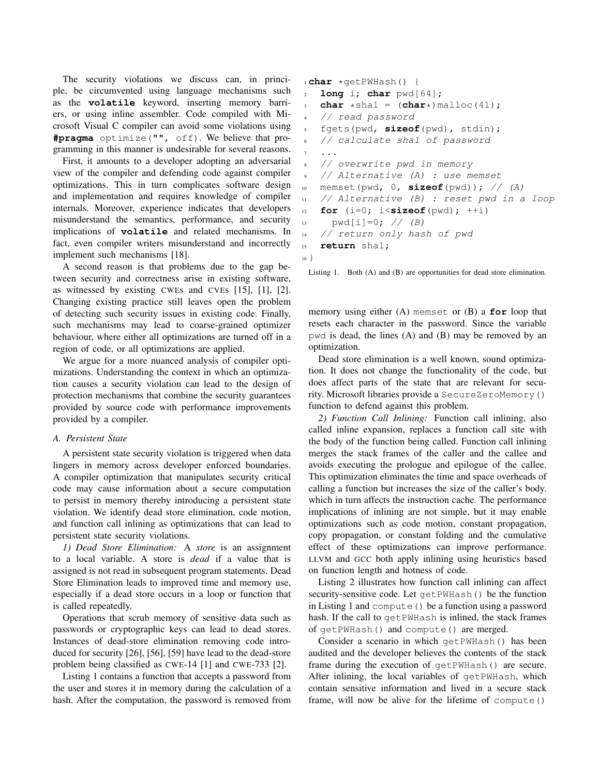The security violations we discuss can, in principle, be circumvented using language mechanisms such as the **volatile** keyword, inserting memory barriers, or using inline assembler. Code compiled with Microsoft Visual C compiler can avoid some violations using **#pragma** optimize("", off). We believe that programming in this manner is undesirable for several reasons.

First, it amounts to a developer adopting an adversarial view of the compiler and defending code against compiler optimizations. This in turn complicates software design and implementation and requires knowledge of compiler internals. Moreover, experience indicates that developers misunderstand the semantics, performance, and security implications of **volatile** and related mechanisms. In fact, even compiler writers misunderstand and incorrectly implement such mechanisms [18].

A second reason is that problems due to the gap between security and correctness arise in existing software, as witnessed by existing CWEs and CVEs [15], [1], [2]. Changing existing practice still leaves open the problem of detecting such security issues in existing code. Finally, such mechanisms may lead to coarse-grained optimizer behaviour, where either all optimizations are turned off in a region of code, or all optimizations are applied.

We argue for a more nuanced analysis of compiler optimizations. Understanding the context in which an optimization causes a security violation can lead to the design of protection mechanisms that combine the security guarantees provided by source code with performance improvements provided by a compiler.

#### *A. Persistent State*

A persistent state security violation is triggered when data lingers in memory across developer enforced boundaries. A compiler optimization that manipulates security critical code may cause information about a secure computation to persist in memory thereby introducing a persistent state violation. We identify dead store elimination, code motion, and function call inlining as optimizations that can lead to persistent state security violations.

*1) Dead Store Elimination:* A *store* is an assignment to a local variable. A store is *dead* if a value that is assigned is not read in subsequent program statements. Dead Store Elimination leads to improved time and memory use, especially if a dead store occurs in a loop or function that is called repeatedly.

Operations that scrub memory of sensitive data such as passwords or cryptographic keys can lead to dead stores. Instances of dead-store elimination removing code introduced for security [26], [56], [59] have lead to the dead-store problem being classified as CWE-14 [1] and CWE-733 [2].

Listing 1 contains a function that accepts a password from the user and stores it in memory during the calculation of a hash. After the computation, the password is removed from

```
1 char *getPWHash() {
2 long i; char pwd[64];
   char *sha1 = (char*)malloc(41);
4 // read password
5 fgets(pwd, sizeof(pwd), stdin);
6 // calculate sha1 of password
   7 ...
   // overwrite pwd in memory
   // Alternative (A) : use memset
10 memset(pwd, 0, sizeof(pwd)); // (A)
11 / Alternative (B) : reset pwd in a loop
12 for (i=0; i<sizeof(pwd); ++i)
13 pwd[i]=0; // (B)14 // return only hash of pwd
15 return sha1;
16 }
```
Listing 1. Both (A) and (B) are opportunities for dead store elimination.

memory using either (A) memset or (B) a **for** loop that resets each character in the password. Since the variable pwd is dead, the lines (A) and (B) may be removed by an optimization.

Dead store elimination is a well known, sound optimization. It does not change the functionality of the code, but does affect parts of the state that are relevant for security. Microsoft libraries provide a SecureZeroMemory() function to defend against this problem.

*2) Function Call Inlining:* Function call inlining, also called inline expansion, replaces a function call site with the body of the function being called. Function call inlining merges the stack frames of the caller and the callee and avoids executing the prologue and epilogue of the callee. This optimization eliminates the time and space overheads of calling a function but increases the size of the caller's body. which in turn affects the instruction cache. The performance implications of inlining are not simple, but it may enable optimizations such as code motion, constant propagation, copy propagation, or constant folding and the cumulative effect of these optimizations can improve performance. LLVM and GCC both apply inlining using heuristics based on function length and hotness of code.

Listing 2 illustrates how function call inlining can affect security-sensitive code. Let  $q$ etPWHash() be the function in Listing 1 and compute() be a function using a password hash. If the call to getPWHash is inlined, the stack frames of getPWHash() and compute() are merged.

Consider a scenario in which getPWHash() has been audited and the developer believes the contents of the stack frame during the execution of getPWHash() are secure. After inlining, the local variables of getPWHash, which contain sensitive information and lived in a secure stack frame, will now be alive for the lifetime of compute()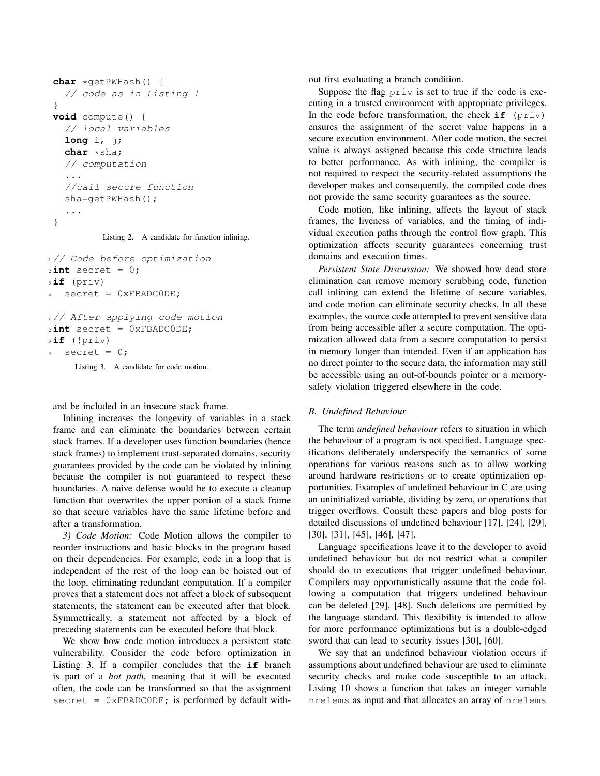```
char *getPWHash() {
  // code as in Listing 1
}
void compute() {
  // local variables
  long i, j;
  char *sha;
  // computation
  ...
  //call secure function
  sha=getPWHash();
  ...
}
```
Listing 2. A candidate for function inlining.

```
1 // Code before optimization
2int secret = 0;
3 if (priv)
4 secret = 0xFBADC0DE;
1 // After applying code motion
2int secret = 0xFBADC0DE;
3 if (!priv)
 secret = 0;
```
Listing 3. A candidate for code motion.

and be included in an insecure stack frame.

Inlining increases the longevity of variables in a stack frame and can eliminate the boundaries between certain stack frames. If a developer uses function boundaries (hence stack frames) to implement trust-separated domains, security guarantees provided by the code can be violated by inlining because the compiler is not guaranteed to respect these boundaries. A naive defense would be to execute a cleanup function that overwrites the upper portion of a stack frame so that secure variables have the same lifetime before and after a transformation.

*3) Code Motion:* Code Motion allows the compiler to reorder instructions and basic blocks in the program based on their dependencies. For example, code in a loop that is independent of the rest of the loop can be hoisted out of the loop, eliminating redundant computation. If a compiler proves that a statement does not affect a block of subsequent statements, the statement can be executed after that block. Symmetrically, a statement not affected by a block of preceding statements can be executed before that block.

We show how code motion introduces a persistent state vulnerability. Consider the code before optimization in Listing 3. If a compiler concludes that the **if** branch is part of a *hot path*, meaning that it will be executed often, the code can be transformed so that the assignment  $secret = 0xFBADCODE;$  is performed by default without first evaluating a branch condition.

Suppose the flag priv is set to true if the code is executing in a trusted environment with appropriate privileges. In the code before transformation, the check  $if$  (priv) ensures the assignment of the secret value happens in a secure execution environment. After code motion, the secret value is always assigned because this code structure leads to better performance. As with inlining, the compiler is not required to respect the security-related assumptions the developer makes and consequently, the compiled code does not provide the same security guarantees as the source.

Code motion, like inlining, affects the layout of stack frames, the liveness of variables, and the timing of individual execution paths through the control flow graph. This optimization affects security guarantees concerning trust domains and execution times.

*Persistent State Discussion:* We showed how dead store elimination can remove memory scrubbing code, function call inlining can extend the lifetime of secure variables, and code motion can eliminate security checks. In all these examples, the source code attempted to prevent sensitive data from being accessible after a secure computation. The optimization allowed data from a secure computation to persist in memory longer than intended. Even if an application has no direct pointer to the secure data, the information may still be accessible using an out-of-bounds pointer or a memorysafety violation triggered elsewhere in the code.

## *B. Undefined Behaviour*

The term *undefined behaviour* refers to situation in which the behaviour of a program is not specified. Language specifications deliberately underspecify the semantics of some operations for various reasons such as to allow working around hardware restrictions or to create optimization opportunities. Examples of undefined behaviour in C are using an uninitialized variable, dividing by zero, or operations that trigger overflows. Consult these papers and blog posts for detailed discussions of undefined behaviour [17], [24], [29], [30], [31], [45], [46], [47].

Language specifications leave it to the developer to avoid undefined behaviour but do not restrict what a compiler should do to executions that trigger undefined behaviour. Compilers may opportunistically assume that the code following a computation that triggers undefined behaviour can be deleted [29], [48]. Such deletions are permitted by the language standard. This flexibility is intended to allow for more performance optimizations but is a double-edged sword that can lead to security issues [30], [60].

We say that an undefined behaviour violation occurs if assumptions about undefined behaviour are used to eliminate security checks and make code susceptible to an attack. Listing 10 shows a function that takes an integer variable nrelems as input and that allocates an array of nrelems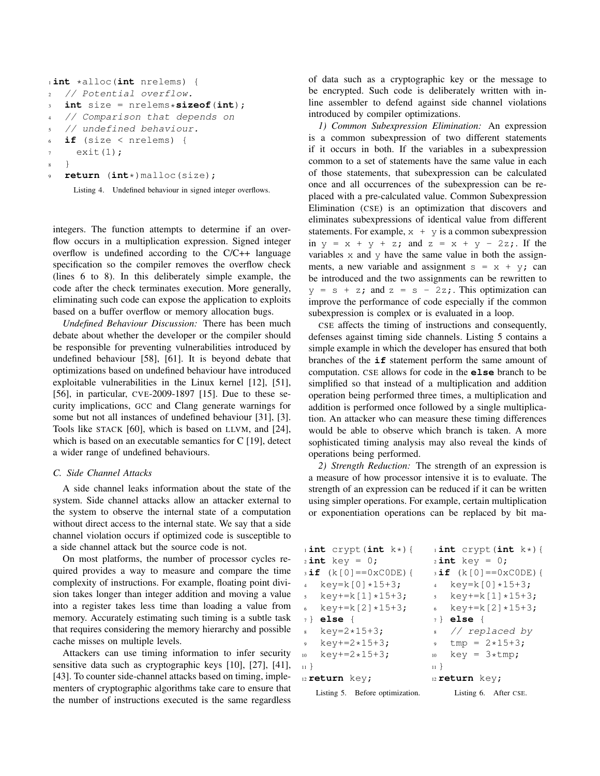```
1 int *alloc(int nrelems) {
2 // Potential overflow.
  3 int size = nrelems*sizeof(int);
4 // Comparison that depends on
  // undefined behaviour.
  if (size < nrelems) {
     ext(1);8 }
  9 return (int*)malloc(size);
```
Listing 4. Undefined behaviour in signed integer overflows.

integers. The function attempts to determine if an overflow occurs in a multiplication expression. Signed integer overflow is undefined according to the C/C++ language specification so the compiler removes the overflow check (lines 6 to 8). In this deliberately simple example, the code after the check terminates execution. More generally, eliminating such code can expose the application to exploits based on a buffer overflow or memory allocation bugs.

*Undefined Behaviour Discussion:* There has been much debate about whether the developer or the compiler should be responsible for preventing vulnerabilities introduced by undefined behaviour [58], [61]. It is beyond debate that optimizations based on undefined behaviour have introduced exploitable vulnerabilities in the Linux kernel [12], [51], [56], in particular, CVE-2009-1897 [15]. Due to these security implications, GCC and Clang generate warnings for some but not all instances of undefined behaviour [31], [3]. Tools like STACK [60], which is based on LLVM, and [24], which is based on an executable semantics for C [19], detect a wider range of undefined behaviours.

## *C. Side Channel Attacks*

A side channel leaks information about the state of the system. Side channel attacks allow an attacker external to the system to observe the internal state of a computation without direct access to the internal state. We say that a side channel violation occurs if optimized code is susceptible to a side channel attack but the source code is not.

On most platforms, the number of processor cycles required provides a way to measure and compare the time complexity of instructions. For example, floating point division takes longer than integer addition and moving a value into a register takes less time than loading a value from memory. Accurately estimating such timing is a subtle task that requires considering the memory hierarchy and possible cache misses on multiple levels.

Attackers can use timing information to infer security sensitive data such as cryptographic keys [10], [27], [41], [43]. To counter side-channel attacks based on timing, implementers of cryptographic algorithms take care to ensure that the number of instructions executed is the same regardless of data such as a cryptographic key or the message to be encrypted. Such code is deliberately written with inline assembler to defend against side channel violations introduced by compiler optimizations.

*1) Common Subexpression Elimination:* An expression is a common subexpression of two different statements if it occurs in both. If the variables in a subexpression common to a set of statements have the same value in each of those statements, that subexpression can be calculated once and all occurrences of the subexpression can be replaced with a pre-calculated value. Common Subexpression Elimination (CSE) is an optimization that discovers and eliminates subexpressions of identical value from different statements. For example,  $x + y$  is a common subexpression in  $y = x + y + z$ ; and  $z = x + y - 2z$ ; If the variables  $x$  and  $y$  have the same value in both the assignments, a new variable and assignment  $s = x + y$ ; can be introduced and the two assignments can be rewritten to  $y = s + z$ ; and  $z = s - 2z$ ; This optimization can improve the performance of code especially if the common subexpression is complex or is evaluated in a loop.

CSE affects the timing of instructions and consequently, defenses against timing side channels. Listing 5 contains a simple example in which the developer has ensured that both branches of the **if** statement perform the same amount of computation. CSE allows for code in the **else** branch to be simplified so that instead of a multiplication and addition operation being performed three times, a multiplication and addition is performed once followed by a single multiplication. An attacker who can measure these timing differences would be able to observe which branch is taken. A more sophisticated timing analysis may also reveal the kinds of operations being performed.

*2) Strength Reduction:* The strength of an expression is a measure of how processor intensive it is to evaluate. The strength of an expression can be reduced if it can be written using simpler operations. For example, certain multiplication or exponentiation operations can be replaced by bit ma-

```
1 int crypt(int k*){
2int key = 0;3 if (k[0]==0xC0DE){
4 \text{ key} = k[0]*15+3;s key + = k [1] *15+3;6 key+=k[2]*15+3;7 } else {
k = y = 2 \times 15 + 3;\frac{9}{2} key + = 2 \times 15 + 3;
10 key + = 2 \times 15 + 3;
11 }
12 return key;
   Listing 5. Before optimization.
                             1 int crypt(int k*){
                             2int key = 0;3 if (k[0]==0xC0DE){
                             4 \text{ key} = k[0]*15+3;s key+=k[1] *15+3;6 key+=k[2]*15+3;7 } else {
                             8 // replaced by
                             9 tmp = 2*15+3;_{10} key = 3*tmp;11 }
                            12 return key;
                                 Listing 6. After CSE.
```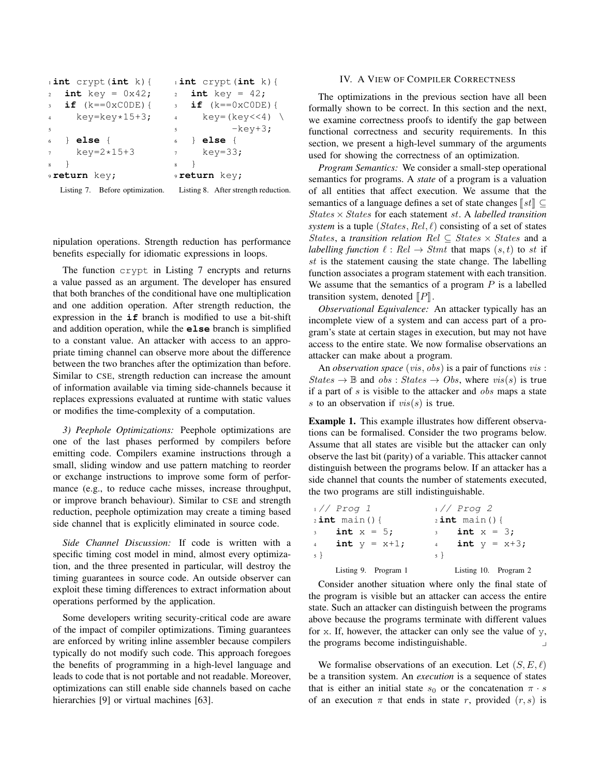```
1 int crypt(int k){
2 int key = 0x42;
   if (k == 0 \times \text{CODE}) {
4 key=key*15+3;5
   6 } else {
     key = 2*15+38 }
9 return key;
                          1 int crypt(int k){
                          2 \quad \text{int key} = 42;3 if (k==0xC0DE){
                          4 key=(key<<4) \setminus-key+3;
                          6 } else {
                                key=33;8 }
                          9 return key;
```
Listing 7. Before optimization. Listing 8. After strength reduction.

nipulation operations. Strength reduction has performance benefits especially for idiomatic expressions in loops.

The function crypt in Listing 7 encrypts and returns a value passed as an argument. The developer has ensured that both branches of the conditional have one multiplication and one addition operation. After strength reduction, the expression in the **if** branch is modified to use a bit-shift and addition operation, while the **else** branch is simplified to a constant value. An attacker with access to an appropriate timing channel can observe more about the difference between the two branches after the optimization than before. Similar to CSE, strength reduction can increase the amount of information available via timing side-channels because it replaces expressions evaluated at runtime with static values or modifies the time-complexity of a computation.

*3) Peephole Optimizations:* Peephole optimizations are one of the last phases performed by compilers before emitting code. Compilers examine instructions through a small, sliding window and use pattern matching to reorder or exchange instructions to improve some form of performance (e.g., to reduce cache misses, increase throughput, or improve branch behaviour). Similar to CSE and strength reduction, peephole optimization may create a timing based side channel that is explicitly eliminated in source code.

*Side Channel Discussion:* If code is written with a specific timing cost model in mind, almost every optimization, and the three presented in particular, will destroy the timing guarantees in source code. An outside observer can exploit these timing differences to extract information about operations performed by the application.

Some developers writing security-critical code are aware of the impact of compiler optimizations. Timing guarantees are enforced by writing inline assembler because compilers typically do not modify such code. This approach foregoes the benefits of programming in a high-level language and leads to code that is not portable and not readable. Moreover, optimizations can still enable side channels based on cache hierarchies [9] or virtual machines [63].

## IV. A VIEW OF COMPILER CORRECTNESS

The optimizations in the previous section have all been formally shown to be correct. In this section and the next, we examine correctness proofs to identify the gap between functional correctness and security requirements. In this section, we present a high-level summary of the arguments used for showing the correctness of an optimization.

*Program Semantics:* We consider a small-step operational semantics for programs. A *state* of a program is a valuation of all entities that affect execution. We assume that the semantics of a language defines a set of state changes  $\llbracket st \rrbracket \subset$ States ×States for each statement st. A *labelled transition system* is a tuple  $(States, Rel, \ell)$  consisting of a set of states States, a *transition relation*  $Rel \subseteq States \times States$  and a *labelling function*  $\ell : Rel \rightarrow S$ *tmt* that maps  $(s, t)$  to st if st is the statement causing the state change. The labelling function associates a program statement with each transition. We assume that the semantics of a program  $P$  is a labelled transition system, denoted  $[.$ 

*Observational Equivalence:* An attacker typically has an incomplete view of a system and can access part of a program's state at certain stages in execution, but may not have access to the entire state. We now formalise observations an attacker can make about a program.

An *observation space* (*vis*, *obs*) is a pair of functions *vis* :  $States \rightarrow \mathbb{B}$  and  $obs: States \rightarrow Obs$ , where  $vis(s)$  is true if a part of  $s$  is visible to the attacker and  $\partial s$  maps a state s to an observation if  $vis(s)$  is true.

Example 1. This example illustrates how different observations can be formalised. Consider the two programs below. Assume that all states are visible but the attacker can only observe the last bit (parity) of a variable. This attacker cannot distinguish between the programs below. If an attacker has a side channel that counts the number of statements executed, the two programs are still indistinguishable.

| 1// Proq 1               | $1//$ Prog 2             |
|--------------------------|--------------------------|
| $2$ <b>int</b> main(){   | $2$ <b>int</b> main(){   |
| 3 <b>int</b> $x = 5$ ;   | 3 <b>int</b> $x = 3$ ;   |
| 4 <b>int</b> $y = x+1$ ; | 4 <b>int</b> $y = x+3$ ; |
| $5 \}$                   | $5 \cdot$                |
| Listing 9. Program 1     | Listing 10. Program 2    |

Consider another situation where only the final state of the program is visible but an attacker can access the entire state. Such an attacker can distinguish between the programs above because the programs terminate with different values for x. If, however, the attacker can only see the value of  $y$ , the programs become indistinguishable.

We formalise observations of an execution. Let  $(S, E, \ell)$ be a transition system. An *execution* is a sequence of states that is either an initial state  $s_0$  or the concatenation  $\pi \cdot s$ of an execution  $\pi$  that ends in state r, provided  $(r, s)$  is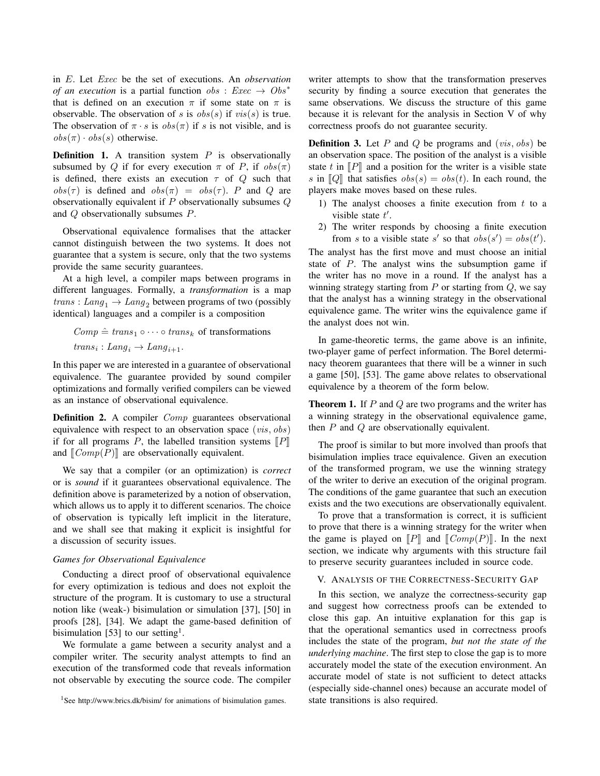in E. Let Exec be the set of executions. An *observation of an execution* is a partial function  $obs : E \nvert \nvert$   $Obs^*$ that is defined on an execution  $\pi$  if some state on  $\pi$  is observable. The observation of s is  $obs(s)$  if  $vis(s)$  is true. The observation of  $\pi \cdot s$  is  $obs(\pi)$  if s is not visible, and is  $obs(\pi) \cdot obs(s)$  otherwise.

**Definition 1.** A transition system  $P$  is observationally subsumed by Q if for every execution  $\pi$  of P, if  $obs(\pi)$ is defined, there exists an execution  $\tau$  of  $Q$  such that  $obs(\tau)$  is defined and  $obs(\pi) = obs(\tau)$ . P and Q are observationally equivalent if P observationally subsumes Q and Q observationally subsumes P.

Observational equivalence formalises that the attacker cannot distinguish between the two systems. It does not guarantee that a system is secure, only that the two systems provide the same security guarantees.

At a high level, a compiler maps between programs in different languages. Formally, a *transformation* is a map  $trans: Lang_1 \rightarrow Lang_2$  between programs of two (possibly identical) languages and a compiler is a composition

Comp 
$$
\hat{=}
$$
 trans<sub>1</sub>  $\circ \cdots \circ$  trans<sub>k</sub> of transformations  
trans<sub>i</sub> : Lang<sub>i</sub>  $\rightarrow$  Lang<sub>i+1</sub>.

In this paper we are interested in a guarantee of observational equivalence. The guarantee provided by sound compiler optimizations and formally verified compilers can be viewed as an instance of observational equivalence.

**Definition 2.** A compiler *Comp* guarantees observational equivalence with respect to an observation space (vis, obs) if for all programs  $P$ , the labelled transition systems  $\llbracket P \rrbracket$ and  $\llbracket Comp(P) \rrbracket$  are observationally equivalent.

We say that a compiler (or an optimization) is *correct* or is *sound* if it guarantees observational equivalence. The definition above is parameterized by a notion of observation, which allows us to apply it to different scenarios. The choice of observation is typically left implicit in the literature, and we shall see that making it explicit is insightful for a discussion of security issues.

#### *Games for Observational Equivalence*

Conducting a direct proof of observational equivalence for every optimization is tedious and does not exploit the structure of the program. It is customary to use a structural notion like (weak-) bisimulation or simulation [37], [50] in proofs [28], [34]. We adapt the game-based definition of bisimulation [53] to our setting<sup>1</sup>.

We formulate a game between a security analyst and a compiler writer. The security analyst attempts to find an execution of the transformed code that reveals information not observable by executing the source code. The compiler writer attempts to show that the transformation preserves security by finding a source execution that generates the same observations. We discuss the structure of this game because it is relevant for the analysis in Section V of why correctness proofs do not guarantee security.

**Definition 3.** Let  $P$  and  $Q$  be programs and  $(vis, obs)$  be an observation space. The position of the analyst is a visible state t in  $\llbracket P \rrbracket$  and a position for the writer is a visible state s in  $\llbracket Q \rrbracket$  that satisfies  $obs(s) = obs(t)$ . In each round, the players make moves based on these rules.

- 1) The analyst chooses a finite execution from  $t$  to a visible state  $t'$ .
- 2) The writer responds by choosing a finite execution from s to a visible state s' so that  $obs(s') = obs(t')$ .

The analyst has the first move and must choose an initial state of  $P$ . The analyst wins the subsumption game if the writer has no move in a round. If the analyst has a winning strategy starting from  $P$  or starting from  $Q$ , we say that the analyst has a winning strategy in the observational equivalence game. The writer wins the equivalence game if the analyst does not win.

In game-theoretic terms, the game above is an infinite, two-player game of perfect information. The Borel determinacy theorem guarantees that there will be a winner in such a game [50], [53]. The game above relates to observational equivalence by a theorem of the form below.

**Theorem 1.** If  $P$  and  $Q$  are two programs and the writer has a winning strategy in the observational equivalence game, then  $P$  and  $Q$  are observationally equivalent.

The proof is similar to but more involved than proofs that bisimulation implies trace equivalence. Given an execution of the transformed program, we use the winning strategy of the writer to derive an execution of the original program. The conditions of the game guarantee that such an execution exists and the two executions are observationally equivalent.

To prove that a transformation is correct, it is sufficient to prove that there is a winning strategy for the writer when the game is played on  $\llbracket P \rrbracket$  and  $\llbracket Comp(P) \rrbracket$ . In the next section, we indicate why arguments with this structure fail to preserve security guarantees included in source code.

V. ANALYSIS OF THE CORRECTNESS-SECURITY GAP

In this section, we analyze the correctness-security gap and suggest how correctness proofs can be extended to close this gap. An intuitive explanation for this gap is that the operational semantics used in correctness proofs includes the state of the program, *but not the state of the underlying machine*. The first step to close the gap is to more accurately model the state of the execution environment. An accurate model of state is not sufficient to detect attacks (especially side-channel ones) because an accurate model of state transitions is also required.

<sup>&</sup>lt;sup>1</sup>See http://www.brics.dk/bisim/ for animations of bisimulation games.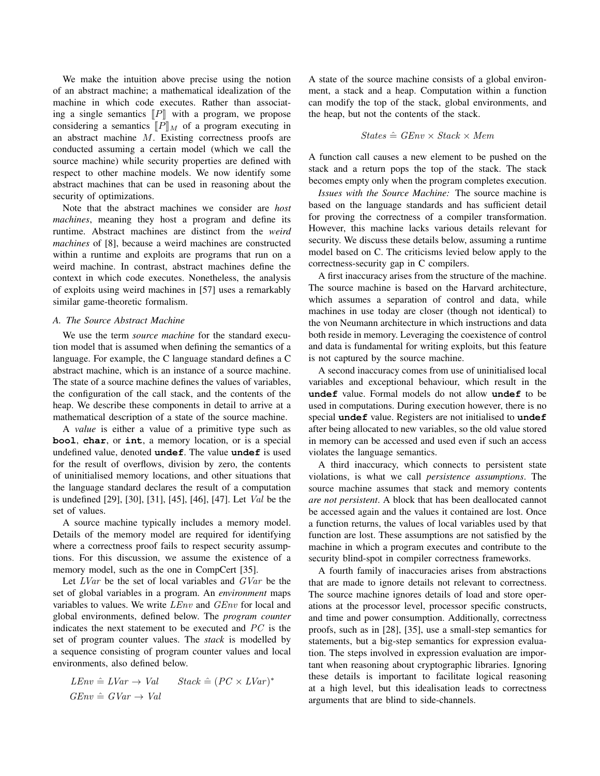We make the intuition above precise using the notion of an abstract machine; a mathematical idealization of the machine in which code executes. Rather than associating a single semantics  $\llbracket P \rrbracket$  with a program, we propose considering a semantics  $\llbracket P \rrbracket_M$  of a program executing in an abstract machine M. Existing correctness proofs are conducted assuming a certain model (which we call the source machine) while security properties are defined with respect to other machine models. We now identify some abstract machines that can be used in reasoning about the security of optimizations.

Note that the abstract machines we consider are *host machines*, meaning they host a program and define its runtime. Abstract machines are distinct from the *weird machines* of [8], because a weird machines are constructed within a runtime and exploits are programs that run on a weird machine. In contrast, abstract machines define the context in which code executes. Nonetheless, the analysis of exploits using weird machines in [57] uses a remarkably similar game-theoretic formalism.

## *A. The Source Abstract Machine*

We use the term *source machine* for the standard execution model that is assumed when defining the semantics of a language. For example, the C language standard defines a C abstract machine, which is an instance of a source machine. The state of a source machine defines the values of variables, the configuration of the call stack, and the contents of the heap. We describe these components in detail to arrive at a mathematical description of a state of the source machine.

A *value* is either a value of a primitive type such as **bool**, **char**, or **int**, a memory location, or is a special undefined value, denoted **undef**. The value **undef** is used for the result of overflows, division by zero, the contents of uninitialised memory locations, and other situations that the language standard declares the result of a computation is undefined [29], [30], [31], [45], [46], [47]. Let Val be the set of values.

A source machine typically includes a memory model. Details of the memory model are required for identifying where a correctness proof fails to respect security assumptions. For this discussion, we assume the existence of a memory model, such as the one in CompCert [35].

Let *LVar* be the set of local variables and *GVar* be the set of global variables in a program. An *environment* maps variables to values. We write LEnv and GEnv for local and global environments, defined below. The *program counter* indicates the next statement to be executed and PC is the set of program counter values. The *stack* is modelled by a sequence consisting of program counter values and local environments, also defined below.

$$
LEnv \hat{=} LVar \rightarrow Val \qquad Stack \hat{=} (PC \times LVar)^*
$$
  
GENv  $\hat{=} GVar \rightarrow Val$ 

A state of the source machine consists of a global environment, a stack and a heap. Computation within a function can modify the top of the stack, global environments, and the heap, but not the contents of the stack.

$$
States \hat{=} \; GEnv \times Stack \times Mem
$$

A function call causes a new element to be pushed on the stack and a return pops the top of the stack. The stack becomes empty only when the program completes execution.

*Issues with the Source Machine:* The source machine is based on the language standards and has sufficient detail for proving the correctness of a compiler transformation. However, this machine lacks various details relevant for security. We discuss these details below, assuming a runtime model based on C. The criticisms levied below apply to the correctness-security gap in C compilers.

A first inaccuracy arises from the structure of the machine. The source machine is based on the Harvard architecture, which assumes a separation of control and data, while machines in use today are closer (though not identical) to the von Neumann architecture in which instructions and data both reside in memory. Leveraging the coexistence of control and data is fundamental for writing exploits, but this feature is not captured by the source machine.

A second inaccuracy comes from use of uninitialised local variables and exceptional behaviour, which result in the **undef** value. Formal models do not allow **undef** to be used in computations. During execution however, there is no special **undef** value. Registers are not initialised to **undef** after being allocated to new variables, so the old value stored in memory can be accessed and used even if such an access violates the language semantics.

A third inaccuracy, which connects to persistent state violations, is what we call *persistence assumptions*. The source machine assumes that stack and memory contents *are not persistent*. A block that has been deallocated cannot be accessed again and the values it contained are lost. Once a function returns, the values of local variables used by that function are lost. These assumptions are not satisfied by the machine in which a program executes and contribute to the security blind-spot in compiler correctness frameworks.

A fourth family of inaccuracies arises from abstractions that are made to ignore details not relevant to correctness. The source machine ignores details of load and store operations at the processor level, processor specific constructs, and time and power consumption. Additionally, correctness proofs, such as in [28], [35], use a small-step semantics for statements, but a big-step semantics for expression evaluation. The steps involved in expression evaluation are important when reasoning about cryptographic libraries. Ignoring these details is important to facilitate logical reasoning at a high level, but this idealisation leads to correctness arguments that are blind to side-channels.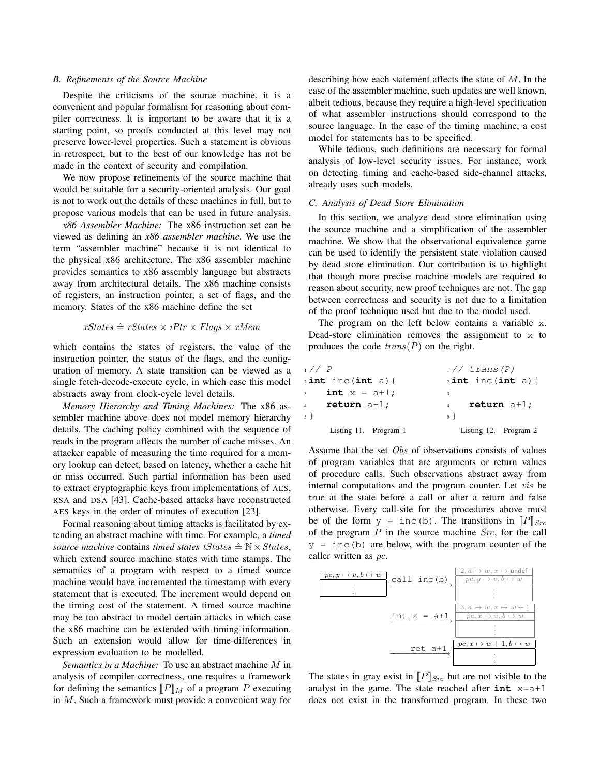## *B. Refinements of the Source Machine*

Despite the criticisms of the source machine, it is a convenient and popular formalism for reasoning about compiler correctness. It is important to be aware that it is a starting point, so proofs conducted at this level may not preserve lower-level properties. Such a statement is obvious in retrospect, but to the best of our knowledge has not be made in the context of security and compilation.

We now propose refinements of the source machine that would be suitable for a security-oriented analysis. Our goal is not to work out the details of these machines in full, but to propose various models that can be used in future analysis.

*x86 Assembler Machine:* The x86 instruction set can be viewed as defining an *x86 assembler machine*. We use the term "assembler machine" because it is not identical to the physical x86 architecture. The x86 assembler machine provides semantics to x86 assembly language but abstracts away from architectural details. The x86 machine consists of registers, an instruction pointer, a set of flags, and the memory. States of the x86 machine define the set

$$
xStates \hat{=} rStates \times iPtr \times Flags \times xMem
$$

which contains the states of registers, the value of the instruction pointer, the status of the flags, and the configuration of memory. A state transition can be viewed as a single fetch-decode-execute cycle, in which case this model abstracts away from clock-cycle level details.

*Memory Hierarchy and Timing Machines:* The x86 assembler machine above does not model memory hierarchy details. The caching policy combined with the sequence of reads in the program affects the number of cache misses. An attacker capable of measuring the time required for a memory lookup can detect, based on latency, whether a cache hit or miss occurred. Such partial information has been used to extract cryptographic keys from implementations of AES, RSA and DSA [43]. Cache-based attacks have reconstructed AES keys in the order of minutes of execution [23].

Formal reasoning about timing attacks is facilitated by extending an abstract machine with time. For example, a *timed source machine* contains *timed states*  $tStates \nightharpoonup N \times States$ , which extend source machine states with time stamps. The semantics of a program with respect to a timed source machine would have incremented the timestamp with every statement that is executed. The increment would depend on the timing cost of the statement. A timed source machine may be too abstract to model certain attacks in which case the x86 machine can be extended with timing information. Such an extension would allow for time-differences in expression evaluation to be modelled.

*Semantics in a Machine:* To use an abstract machine M in analysis of compiler correctness, one requires a framework for defining the semantics  $[P]_M$  of a program P executing in M. Such a framework must provide a convenient way for describing how each statement affects the state of M. In the case of the assembler machine, such updates are well known, albeit tedious, because they require a high-level specification of what assembler instructions should correspond to the source language. In the case of the timing machine, a cost model for statements has to be specified.

While tedious, such definitions are necessary for formal analysis of low-level security issues. For instance, work on detecting timing and cache-based side-channel attacks, already uses such models.

### *C. Analysis of Dead Store Elimination*

In this section, we analyze dead store elimination using the source machine and a simplification of the assembler machine. We show that the observational equivalence game can be used to identify the persistent state violation caused by dead store elimination. Our contribution is to highlight that though more precise machine models are required to reason about security, new proof techniques are not. The gap between correctness and security is not due to a limitation of the proof technique used but due to the model used.

The program on the left below contains a variable x. Dead-store elimination removes the assignment to  $x$  to produces the code  $trans(P)$  on the right.

| 1//P                  | 1// trans(P)            |
|-----------------------|-------------------------|
| $_2$ int inc(int a){  | $_2$ int inc (int a) {  |
| 3 $int x = a+1$ ;     | 3                       |
| 4     return  a+1;    | return $a+1$ ;<br>$4 -$ |
| 5}                    | $5 \}$                  |
| Listing 11. Program 1 | Listing 12. Program 2   |

Assume that the set Obs of observations consists of values of program variables that are arguments or return values of procedure calls. Such observations abstract away from internal computations and the program counter. Let vis be true at the state before a call or after a return and false otherwise. Every call-site for the procedures above must be of the form  $y = inc(b)$ . The transitions in  $[P]_{Src}$ of the program  $P$  in the source machine  $Src$ , for the call  $y = inc(b)$  are below, with the program counter of the caller written as pc.



The states in gray exist in  $[ but are not visible to the$ analyst in the game. The state reached after  $int x=a+1$ does not exist in the transformed program. In these two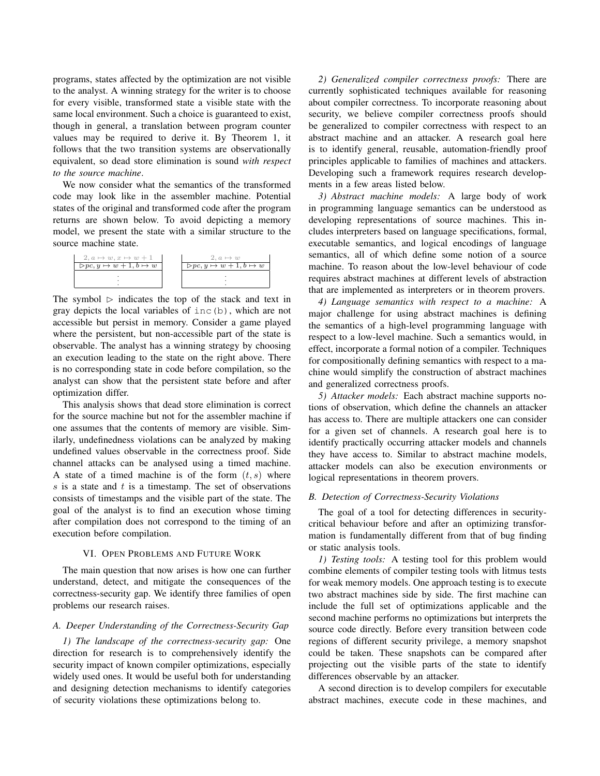programs, states affected by the optimization are not visible to the analyst. A winning strategy for the writer is to choose for every visible, transformed state a visible state with the same local environment. Such a choice is guaranteed to exist, though in general, a translation between program counter values may be required to derive it. By Theorem 1, it follows that the two transition systems are observationally equivalent, so dead store elimination is sound *with respect to the source machine*.

We now consider what the semantics of the transformed code may look like in the assembler machine. Potential states of the original and transformed code after the program returns are shown below. To avoid depicting a memory model, we present the state with a similar structure to the source machine state.



The symbol  $\triangleright$  indicates the top of the stack and text in gray depicts the local variables of inc(b), which are not accessible but persist in memory. Consider a game played where the persistent, but non-accessible part of the state is observable. The analyst has a winning strategy by choosing an execution leading to the state on the right above. There is no corresponding state in code before compilation, so the analyst can show that the persistent state before and after optimization differ.

This analysis shows that dead store elimination is correct for the source machine but not for the assembler machine if one assumes that the contents of memory are visible. Similarly, undefinedness violations can be analyzed by making undefined values observable in the correctness proof. Side channel attacks can be analysed using a timed machine. A state of a timed machine is of the form  $(t, s)$  where s is a state and  $t$  is a timestamp. The set of observations consists of timestamps and the visible part of the state. The goal of the analyst is to find an execution whose timing after compilation does not correspond to the timing of an execution before compilation.

### VI. OPEN PROBLEMS AND FUTURE WORK

The main question that now arises is how one can further understand, detect, and mitigate the consequences of the correctness-security gap. We identify three families of open problems our research raises.

#### *A. Deeper Understanding of the Correctness-Security Gap*

*1) The landscape of the correctness-security gap:* One direction for research is to comprehensively identify the security impact of known compiler optimizations, especially widely used ones. It would be useful both for understanding and designing detection mechanisms to identify categories of security violations these optimizations belong to.

*2) Generalized compiler correctness proofs:* There are currently sophisticated techniques available for reasoning about compiler correctness. To incorporate reasoning about security, we believe compiler correctness proofs should be generalized to compiler correctness with respect to an abstract machine and an attacker. A research goal here is to identify general, reusable, automation-friendly proof principles applicable to families of machines and attackers. Developing such a framework requires research developments in a few areas listed below.

*3) Abstract machine models:* A large body of work in programming language semantics can be understood as developing representations of source machines. This includes interpreters based on language specifications, formal, executable semantics, and logical encodings of language semantics, all of which define some notion of a source machine. To reason about the low-level behaviour of code requires abstract machines at different levels of abstraction that are implemented as interpreters or in theorem provers.

*4) Language semantics with respect to a machine:* A major challenge for using abstract machines is defining the semantics of a high-level programming language with respect to a low-level machine. Such a semantics would, in effect, incorporate a formal notion of a compiler. Techniques for compositionally defining semantics with respect to a machine would simplify the construction of abstract machines and generalized correctness proofs.

*5) Attacker models:* Each abstract machine supports notions of observation, which define the channels an attacker has access to. There are multiple attackers one can consider for a given set of channels. A research goal here is to identify practically occurring attacker models and channels they have access to. Similar to abstract machine models, attacker models can also be execution environments or logical representations in theorem provers.

## *B. Detection of Correctness-Security Violations*

The goal of a tool for detecting differences in securitycritical behaviour before and after an optimizing transformation is fundamentally different from that of bug finding or static analysis tools.

*1) Testing tools:* A testing tool for this problem would combine elements of compiler testing tools with litmus tests for weak memory models. One approach testing is to execute two abstract machines side by side. The first machine can include the full set of optimizations applicable and the second machine performs no optimizations but interprets the source code directly. Before every transition between code regions of different security privilege, a memory snapshot could be taken. These snapshots can be compared after projecting out the visible parts of the state to identify differences observable by an attacker.

A second direction is to develop compilers for executable abstract machines, execute code in these machines, and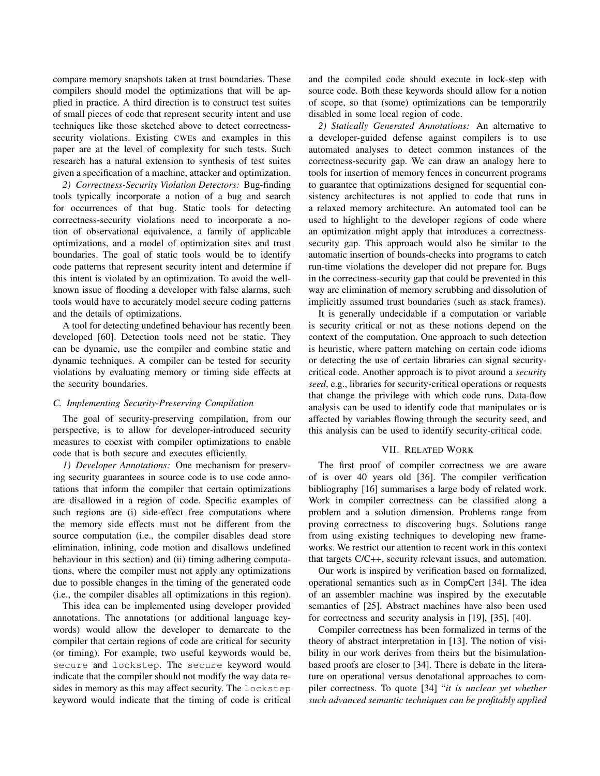compare memory snapshots taken at trust boundaries. These compilers should model the optimizations that will be applied in practice. A third direction is to construct test suites of small pieces of code that represent security intent and use techniques like those sketched above to detect correctnesssecurity violations. Existing CWEs and examples in this paper are at the level of complexity for such tests. Such research has a natural extension to synthesis of test suites given a specification of a machine, attacker and optimization.

*2) Correctness-Security Violation Detectors:* Bug-finding tools typically incorporate a notion of a bug and search for occurrences of that bug. Static tools for detecting correctness-security violations need to incorporate a notion of observational equivalence, a family of applicable optimizations, and a model of optimization sites and trust boundaries. The goal of static tools would be to identify code patterns that represent security intent and determine if this intent is violated by an optimization. To avoid the wellknown issue of flooding a developer with false alarms, such tools would have to accurately model secure coding patterns and the details of optimizations.

A tool for detecting undefined behaviour has recently been developed [60]. Detection tools need not be static. They can be dynamic, use the compiler and combine static and dynamic techniques. A compiler can be tested for security violations by evaluating memory or timing side effects at the security boundaries.

#### *C. Implementing Security-Preserving Compilation*

The goal of security-preserving compilation, from our perspective, is to allow for developer-introduced security measures to coexist with compiler optimizations to enable code that is both secure and executes efficiently.

*1) Developer Annotations:* One mechanism for preserving security guarantees in source code is to use code annotations that inform the compiler that certain optimizations are disallowed in a region of code. Specific examples of such regions are (i) side-effect free computations where the memory side effects must not be different from the source computation (i.e., the compiler disables dead store elimination, inlining, code motion and disallows undefined behaviour in this section) and (ii) timing adhering computations, where the compiler must not apply any optimizations due to possible changes in the timing of the generated code (i.e., the compiler disables all optimizations in this region).

This idea can be implemented using developer provided annotations. The annotations (or additional language keywords) would allow the developer to demarcate to the compiler that certain regions of code are critical for security (or timing). For example, two useful keywords would be, secure and lockstep. The secure keyword would indicate that the compiler should not modify the way data resides in memory as this may affect security. The lockstep keyword would indicate that the timing of code is critical and the compiled code should execute in lock-step with source code. Both these keywords should allow for a notion of scope, so that (some) optimizations can be temporarily disabled in some local region of code.

*2) Statically Generated Annotations:* An alternative to a developer-guided defense against compilers is to use automated analyses to detect common instances of the correctness-security gap. We can draw an analogy here to tools for insertion of memory fences in concurrent programs to guarantee that optimizations designed for sequential consistency architectures is not applied to code that runs in a relaxed memory architecture. An automated tool can be used to highlight to the developer regions of code where an optimization might apply that introduces a correctnesssecurity gap. This approach would also be similar to the automatic insertion of bounds-checks into programs to catch run-time violations the developer did not prepare for. Bugs in the correctness-security gap that could be prevented in this way are elimination of memory scrubbing and dissolution of implicitly assumed trust boundaries (such as stack frames).

It is generally undecidable if a computation or variable is security critical or not as these notions depend on the context of the computation. One approach to such detection is heuristic, where pattern matching on certain code idioms or detecting the use of certain libraries can signal securitycritical code. Another approach is to pivot around a *security seed*, e.g., libraries for security-critical operations or requests that change the privilege with which code runs. Data-flow analysis can be used to identify code that manipulates or is affected by variables flowing through the security seed, and this analysis can be used to identify security-critical code.

## VII. RELATED WORK

The first proof of compiler correctness we are aware of is over 40 years old [36]. The compiler verification bibliography [16] summarises a large body of related work. Work in compiler correctness can be classified along a problem and a solution dimension. Problems range from proving correctness to discovering bugs. Solutions range from using existing techniques to developing new frameworks. We restrict our attention to recent work in this context that targets C/C++, security relevant issues, and automation.

Our work is inspired by verification based on formalized, operational semantics such as in CompCert [34]. The idea of an assembler machine was inspired by the executable semantics of [25]. Abstract machines have also been used for correctness and security analysis in [19], [35], [40].

Compiler correctness has been formalized in terms of the theory of abstract interpretation in [13]. The notion of visibility in our work derives from theirs but the bisimulationbased proofs are closer to [34]. There is debate in the literature on operational versus denotational approaches to compiler correctness. To quote [34] "*it is unclear yet whether such advanced semantic techniques can be profitably applied*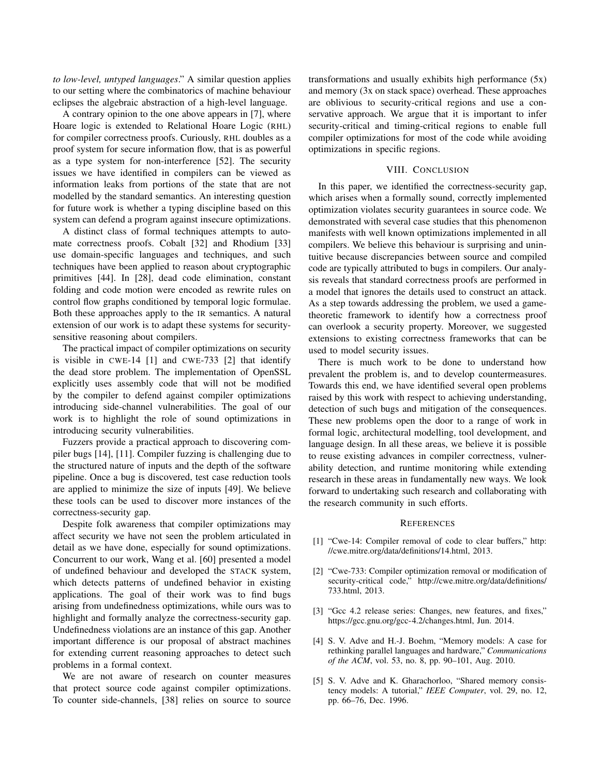*to low-level, untyped languages*." A similar question applies to our setting where the combinatorics of machine behaviour eclipses the algebraic abstraction of a high-level language.

A contrary opinion to the one above appears in [7], where Hoare logic is extended to Relational Hoare Logic (RHL) for compiler correctness proofs. Curiously, RHL doubles as a proof system for secure information flow, that is as powerful as a type system for non-interference [52]. The security issues we have identified in compilers can be viewed as information leaks from portions of the state that are not modelled by the standard semantics. An interesting question for future work is whether a typing discipline based on this system can defend a program against insecure optimizations.

A distinct class of formal techniques attempts to automate correctness proofs. Cobalt [32] and Rhodium [33] use domain-specific languages and techniques, and such techniques have been applied to reason about cryptographic primitives [44]. In [28], dead code elimination, constant folding and code motion were encoded as rewrite rules on control flow graphs conditioned by temporal logic formulae. Both these approaches apply to the IR semantics. A natural extension of our work is to adapt these systems for securitysensitive reasoning about compilers.

The practical impact of compiler optimizations on security is visible in CWE-14 [1] and CWE-733 [2] that identify the dead store problem. The implementation of OpenSSL explicitly uses assembly code that will not be modified by the compiler to defend against compiler optimizations introducing side-channel vulnerabilities. The goal of our work is to highlight the role of sound optimizations in introducing security vulnerabilities.

Fuzzers provide a practical approach to discovering compiler bugs [14], [11]. Compiler fuzzing is challenging due to the structured nature of inputs and the depth of the software pipeline. Once a bug is discovered, test case reduction tools are applied to minimize the size of inputs [49]. We believe these tools can be used to discover more instances of the correctness-security gap.

Despite folk awareness that compiler optimizations may affect security we have not seen the problem articulated in detail as we have done, especially for sound optimizations. Concurrent to our work, Wang et al. [60] presented a model of undefined behaviour and developed the STACK system, which detects patterns of undefined behavior in existing applications. The goal of their work was to find bugs arising from undefinedness optimizations, while ours was to highlight and formally analyze the correctness-security gap. Undefinedness violations are an instance of this gap. Another important difference is our proposal of abstract machines for extending current reasoning approaches to detect such problems in a formal context.

We are not aware of research on counter measures that protect source code against compiler optimizations. To counter side-channels, [38] relies on source to source transformations and usually exhibits high performance (5x) and memory (3x on stack space) overhead. These approaches are oblivious to security-critical regions and use a conservative approach. We argue that it is important to infer security-critical and timing-critical regions to enable full compiler optimizations for most of the code while avoiding optimizations in specific regions.

#### VIII. CONCLUSION

In this paper, we identified the correctness-security gap, which arises when a formally sound, correctly implemented optimization violates security guarantees in source code. We demonstrated with several case studies that this phenomenon manifests with well known optimizations implemented in all compilers. We believe this behaviour is surprising and unintuitive because discrepancies between source and compiled code are typically attributed to bugs in compilers. Our analysis reveals that standard correctness proofs are performed in a model that ignores the details used to construct an attack. As a step towards addressing the problem, we used a gametheoretic framework to identify how a correctness proof can overlook a security property. Moreover, we suggested extensions to existing correctness frameworks that can be used to model security issues.

There is much work to be done to understand how prevalent the problem is, and to develop countermeasures. Towards this end, we have identified several open problems raised by this work with respect to achieving understanding, detection of such bugs and mitigation of the consequences. These new problems open the door to a range of work in formal logic, architectural modelling, tool development, and language design. In all these areas, we believe it is possible to reuse existing advances in compiler correctness, vulnerability detection, and runtime monitoring while extending research in these areas in fundamentally new ways. We look forward to undertaking such research and collaborating with the research community in such efforts.

#### **REFERENCES**

- [1] "Cwe-14: Compiler removal of code to clear buffers," http: //cwe.mitre.org/data/definitions/14.html, 2013.
- [2] "Cwe-733: Compiler optimization removal or modification of security-critical code," http://cwe.mitre.org/data/definitions/ 733.html, 2013.
- [3] "Gcc 4.2 release series: Changes, new features, and fixes," https://gcc.gnu.org/gcc-4.2/changes.html, Jun. 2014.
- [4] S. V. Adve and H.-J. Boehm, "Memory models: A case for rethinking parallel languages and hardware," *Communications of the ACM*, vol. 53, no. 8, pp. 90–101, Aug. 2010.
- [5] S. V. Adve and K. Gharachorloo, "Shared memory consistency models: A tutorial," *IEEE Computer*, vol. 29, no. 12, pp. 66–76, Dec. 1996.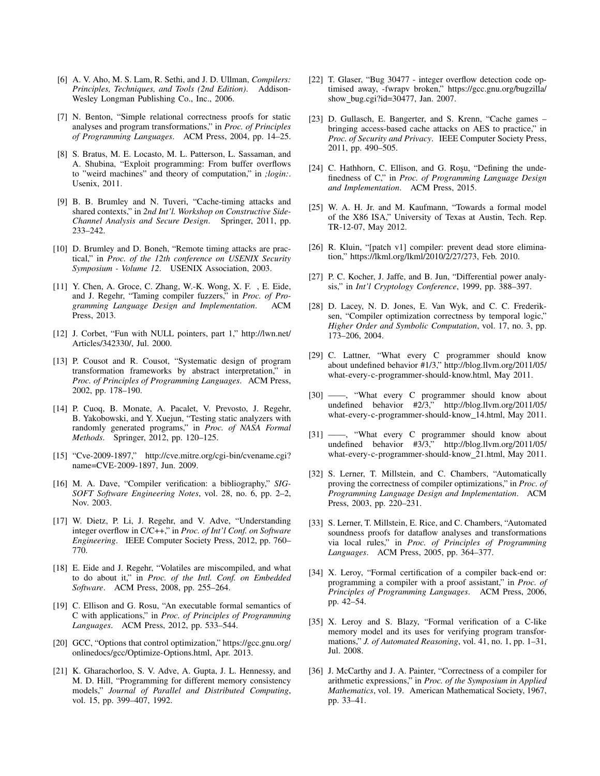- [6] A. V. Aho, M. S. Lam, R. Sethi, and J. D. Ullman, *Compilers: Principles, Techniques, and Tools (2nd Edition)*. Addison-Wesley Longman Publishing Co., Inc., 2006.
- [7] N. Benton, "Simple relational correctness proofs for static analyses and program transformations," in *Proc. of Principles of Programming Languages*. ACM Press, 2004, pp. 14–25.
- [8] S. Bratus, M. E. Locasto, M. L. Patterson, L. Sassaman, and A. Shubina, "Exploit programming: From buffer overflows to "weird machines" and theory of computation," in *;login:*. Usenix, 2011.
- [9] B. B. Brumley and N. Tuveri, "Cache-timing attacks and shared contexts," in *2nd Int'l. Workshop on Constructive Side-Channel Analysis and Secure Design*. Springer, 2011, pp. 233–242.
- [10] D. Brumley and D. Boneh, "Remote timing attacks are practical," in *Proc. of the 12th conference on USENIX Security Symposium - Volume 12*. USENIX Association, 2003.
- [11] Y. Chen, A. Groce, C. Zhang, W.-K. Wong, X. F. , E. Eide, and J. Regehr, "Taming compiler fuzzers," in *Proc. of Programming Language Design and Implementation*. ACM Press, 2013.
- [12] J. Corbet, "Fun with NULL pointers, part 1," http://lwn.net/ Articles/342330/, Jul. 2000.
- [13] P. Cousot and R. Cousot, "Systematic design of program transformation frameworks by abstract interpretation," in *Proc. of Principles of Programming Languages*. ACM Press, 2002, pp. 178–190.
- [14] P. Cuoq, B. Monate, A. Pacalet, V. Prevosto, J. Regehr, B. Yakobowski, and Y. Xuejun, "Testing static analyzers with randomly generated programs," in *Proc. of NASA Formal Methods*. Springer, 2012, pp. 120–125.
- [15] "Cve-2009-1897," http://cve.mitre.org/cgi-bin/cvename.cgi? name=CVE-2009-1897, Jun. 2009.
- [16] M. A. Dave, "Compiler verification: a bibliography," *SIG-SOFT Software Engineering Notes*, vol. 28, no. 6, pp. 2–2, Nov. 2003.
- [17] W. Dietz, P. Li, J. Regehr, and V. Adve, "Understanding integer overflow in C/C++," in *Proc. of Int'l Conf. on Software Engineering*. IEEE Computer Society Press, 2012, pp. 760– 770.
- [18] E. Eide and J. Regehr, "Volatiles are miscompiled, and what to do about it," in *Proc. of the Intl. Conf. on Embedded Software*. ACM Press, 2008, pp. 255–264.
- [19] C. Ellison and G. Rosu, "An executable formal semantics of C with applications," in *Proc. of Principles of Programming Languages*. ACM Press, 2012, pp. 533–544.
- [20] GCC, "Options that control optimization," https://gcc.gnu.org/ onlinedocs/gcc/Optimize-Options.html, Apr. 2013.
- [21] K. Gharachorloo, S. V. Adve, A. Gupta, J. L. Hennessy, and M. D. Hill, "Programming for different memory consistency models," *Journal of Parallel and Distributed Computing*, vol. 15, pp. 399–407, 1992.
- [22] T. Glaser, "Bug 30477 integer overflow detection code optimised away, -fwrapv broken," https://gcc.gnu.org/bugzilla/ show bug.cgi?id=30477, Jan. 2007.
- [23] D. Gullasch, E. Bangerter, and S. Krenn, "Cache games bringing access-based cache attacks on AES to practice," in *Proc. of Security and Privacy*. IEEE Computer Society Press, 2011, pp. 490–505.
- [24] C. Hathhorn, C. Ellison, and G. Rosu, "Defining the undefinedness of C," in *Proc. of Programming Language Design and Implementation*. ACM Press, 2015.
- [25] W. A. H. Jr. and M. Kaufmann, "Towards a formal model of the X86 ISA," University of Texas at Austin, Tech. Rep. TR-12-07, May 2012.
- [26] R. Kluin, "[patch v1] compiler: prevent dead store elimination," https://lkml.org/lkml/2010/2/27/273, Feb. 2010.
- [27] P. C. Kocher, J. Jaffe, and B. Jun, "Differential power analysis," in *Int'l Cryptology Conference*, 1999, pp. 388–397.
- [28] D. Lacey, N. D. Jones, E. Van Wyk, and C. C. Frederiksen, "Compiler optimization correctness by temporal logic," *Higher Order and Symbolic Computation*, vol. 17, no. 3, pp. 173–206, 2004.
- [29] C. Lattner, "What every C programmer should know about undefined behavior #1/3," http://blog.llvm.org/2011/05/ what-every-c-programmer-should-know.html, May 2011.
- [30] ——, "What every C programmer should know about undefined behavior #2/3," http://blog.llvm.org/2011/05/ what-every-c-programmer-should-know 14.html, May 2011.
- [31] ——, "What every C programmer should know about undefined behavior #3/3," http://blog.llvm.org/2011/05/ what-every-c-programmer-should-know 21.html, May 2011.
- [32] S. Lerner, T. Millstein, and C. Chambers, "Automatically proving the correctness of compiler optimizations," in *Proc. of Programming Language Design and Implementation*. ACM Press, 2003, pp. 220–231.
- [33] S. Lerner, T. Millstein, E. Rice, and C. Chambers, "Automated soundness proofs for dataflow analyses and transformations via local rules," in *Proc. of Principles of Programming Languages*. ACM Press, 2005, pp. 364–377.
- [34] X. Leroy, "Formal certification of a compiler back-end or: programming a compiler with a proof assistant," in *Proc. of Principles of Programming Languages*. ACM Press, 2006, pp. 42–54.
- [35] X. Leroy and S. Blazy, "Formal verification of a C-like memory model and its uses for verifying program transformations," *J. of Automated Reasoning*, vol. 41, no. 1, pp. 1–31, Jul. 2008.
- [36] J. McCarthy and J. A. Painter, "Correctness of a compiler for arithmetic expressions," in *Proc. of the Symposium in Applied Mathematics*, vol. 19. American Mathematical Society, 1967, pp. 33–41.